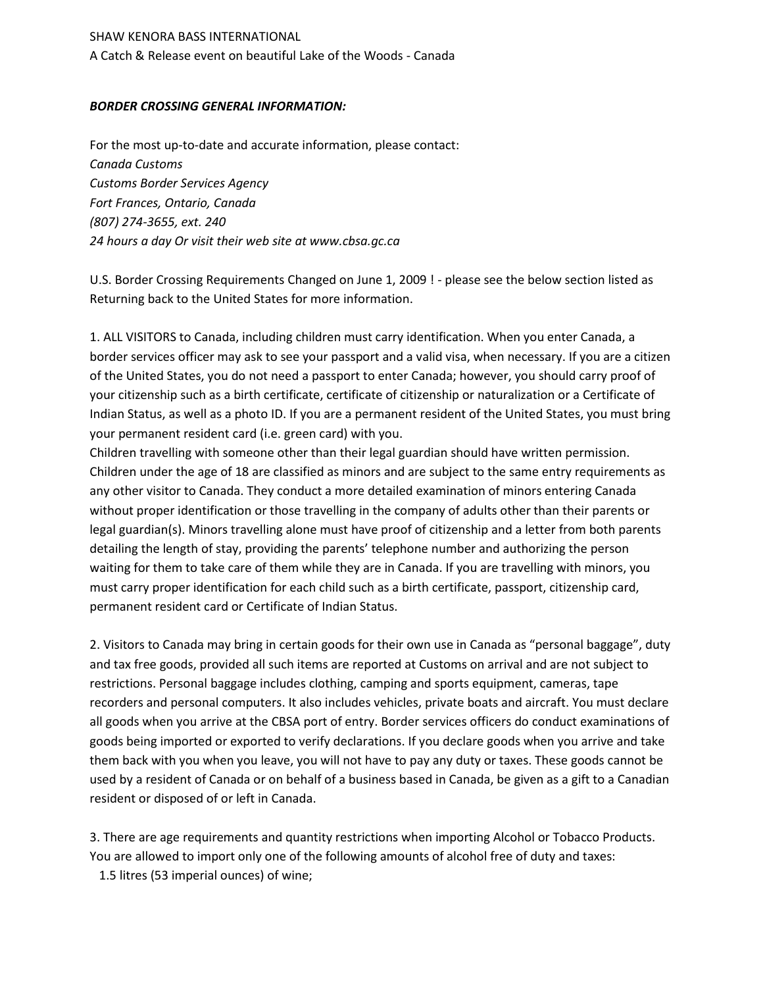## SHAW KENORA BASS INTERNATIONAL

A Catch & Release event on beautiful Lake of the Woods - Canada

## *BORDER CROSSING GENERAL INFORMATION:*

For the most up-to-date and accurate information, please contact: *Canada Customs Customs Border Services Agency Fort Frances, Ontario, Canada (807) 274-3655, ext. 240 24 hours a day Or visit their web site at www.cbsa.gc.ca*

U.S. Border Crossing Requirements Changed on June 1, 2009 ! - please see the below section listed as Returning back to the United States for more information.

1. ALL VISITORS to Canada, including children must carry identification. When you enter Canada, a border services officer may ask to see your passport and a valid visa, when necessary. If you are a citizen of the United States, you do not need a passport to enter Canada; however, you should carry proof of your citizenship such as a birth certificate, certificate of citizenship or naturalization or a Certificate of Indian Status, as well as a photo ID. If you are a permanent resident of the United States, you must bring your permanent resident card (i.e. green card) with you.

Children travelling with someone other than their legal guardian should have written permission. Children under the age of 18 are classified as minors and are subject to the same entry requirements as any other visitor to Canada. They conduct a more detailed examination of minors entering Canada without proper identification or those travelling in the company of adults other than their parents or legal guardian(s). Minors travelling alone must have proof of citizenship and a letter from both parents detailing the length of stay, providing the parents' telephone number and authorizing the person waiting for them to take care of them while they are in Canada. If you are travelling with minors, you must carry proper identification for each child such as a birth certificate, passport, citizenship card, permanent resident card or Certificate of Indian Status.

2. Visitors to Canada may bring in certain goods for their own use in Canada as "personal baggage", duty and tax free goods, provided all such items are reported at Customs on arrival and are not subject to restrictions. Personal baggage includes clothing, camping and sports equipment, cameras, tape recorders and personal computers. It also includes vehicles, private boats and aircraft. You must declare all goods when you arrive at the CBSA port of entry. Border services officers do conduct examinations of goods being imported or exported to verify declarations. If you declare goods when you arrive and take them back with you when you leave, you will not have to pay any duty or taxes. These goods cannot be used by a resident of Canada or on behalf of a business based in Canada, be given as a gift to a Canadian resident or disposed of or left in Canada.

3. There are age requirements and quantity restrictions when importing Alcohol or Tobacco Products. You are allowed to import only one of the following amounts of alcohol free of duty and taxes: 1.5 litres (53 imperial ounces) of wine;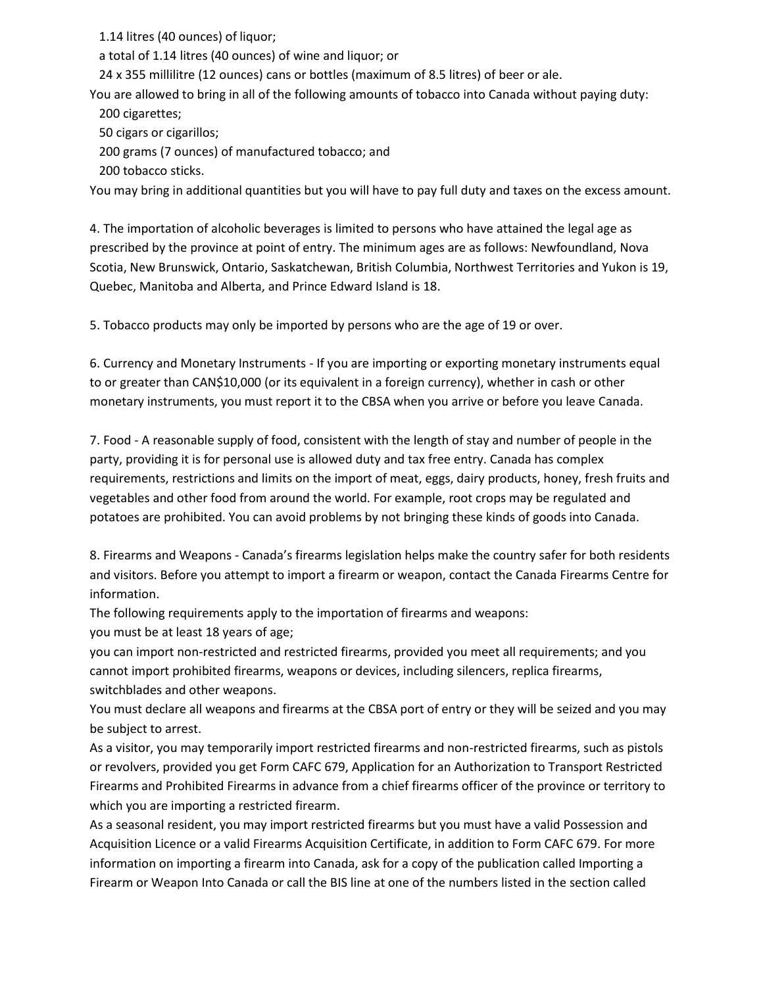1.14 litres (40 ounces) of liquor;

a total of 1.14 litres (40 ounces) of wine and liquor; or

24 x 355 millilitre (12 ounces) cans or bottles (maximum of 8.5 litres) of beer or ale.

You are allowed to bring in all of the following amounts of tobacco into Canada without paying duty: 200 cigarettes;

50 cigars or cigarillos;

200 grams (7 ounces) of manufactured tobacco; and

200 tobacco sticks.

You may bring in additional quantities but you will have to pay full duty and taxes on the excess amount.

4. The importation of alcoholic beverages is limited to persons who have attained the legal age as prescribed by the province at point of entry. The minimum ages are as follows: Newfoundland, Nova Scotia, New Brunswick, Ontario, Saskatchewan, British Columbia, Northwest Territories and Yukon is 19, Quebec, Manitoba and Alberta, and Prince Edward Island is 18.

5. Tobacco products may only be imported by persons who are the age of 19 or over.

6. Currency and Monetary Instruments - If you are importing or exporting monetary instruments equal to or greater than CAN\$10,000 (or its equivalent in a foreign currency), whether in cash or other monetary instruments, you must report it to the CBSA when you arrive or before you leave Canada.

7. Food - A reasonable supply of food, consistent with the length of stay and number of people in the party, providing it is for personal use is allowed duty and tax free entry. Canada has complex requirements, restrictions and limits on the import of meat, eggs, dairy products, honey, fresh fruits and vegetables and other food from around the world. For example, root crops may be regulated and potatoes are prohibited. You can avoid problems by not bringing these kinds of goods into Canada.

8. Firearms and Weapons - Canada's firearms legislation helps make the country safer for both residents and visitors. Before you attempt to import a firearm or weapon, contact the Canada Firearms Centre for information.

The following requirements apply to the importation of firearms and weapons: you must be at least 18 years of age;

you can import non-restricted and restricted firearms, provided you meet all requirements; and you cannot import prohibited firearms, weapons or devices, including silencers, replica firearms, switchblades and other weapons.

You must declare all weapons and firearms at the CBSA port of entry or they will be seized and you may be subject to arrest.

As a visitor, you may temporarily import restricted firearms and non-restricted firearms, such as pistols or revolvers, provided you get Form CAFC 679, Application for an Authorization to Transport Restricted Firearms and Prohibited Firearms in advance from a chief firearms officer of the province or territory to which you are importing a restricted firearm.

As a seasonal resident, you may import restricted firearms but you must have a valid Possession and Acquisition Licence or a valid Firearms Acquisition Certificate, in addition to Form CAFC 679. For more information on importing a firearm into Canada, ask for a copy of the publication called Importing a Firearm or Weapon Into Canada or call the BIS line at one of the numbers listed in the section called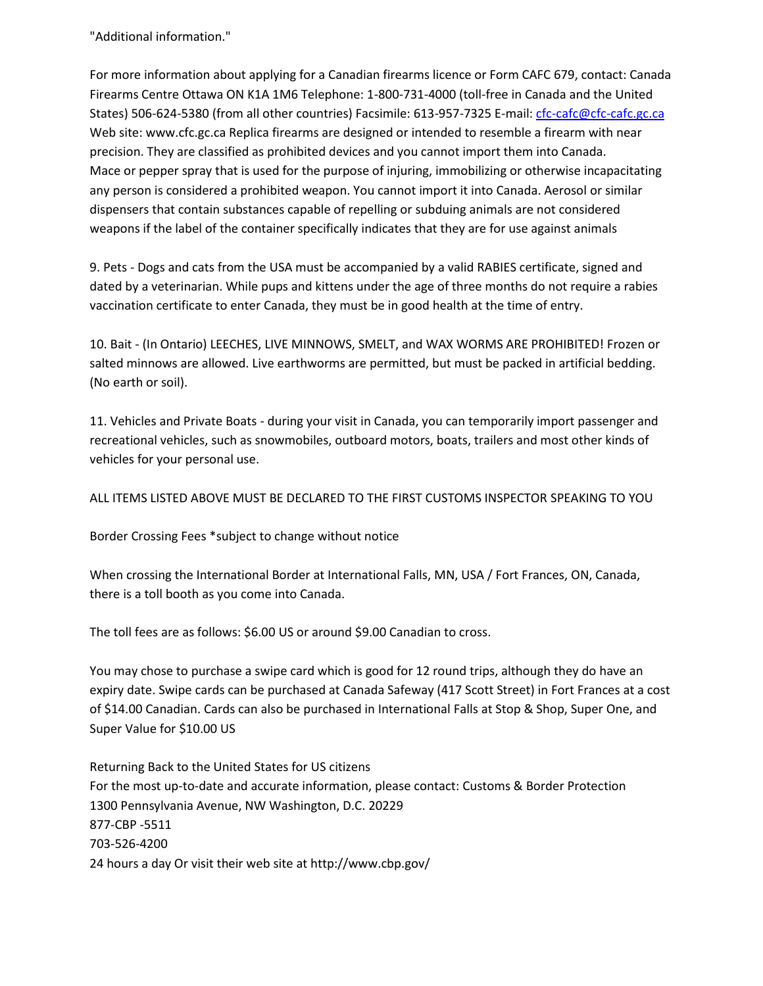"Additional information."

For more information about applying for a Canadian firearms licence or Form CAFC 679, contact: Canada Firearms Centre Ottawa ON K1A 1M6 Telephone: 1-800-731-4000 (toll-free in Canada and the United States) 506-624-5380 (from all other countries) Facsimile: 613-957-7325 E-mail: [cfc-cafc@cfc-cafc.gc.ca](mailto:cfc-cafc@cfc-cafc.gc.ca) Web site: www.cfc.gc.ca Replica firearms are designed or intended to resemble a firearm with near precision. They are classified as prohibited devices and you cannot import them into Canada. Mace or pepper spray that is used for the purpose of injuring, immobilizing or otherwise incapacitating any person is considered a prohibited weapon. You cannot import it into Canada. Aerosol or similar dispensers that contain substances capable of repelling or subduing animals are not considered weapons if the label of the container specifically indicates that they are for use against animals

9. Pets - Dogs and cats from the USA must be accompanied by a valid RABIES certificate, signed and dated by a veterinarian. While pups and kittens under the age of three months do not require a rabies vaccination certificate to enter Canada, they must be in good health at the time of entry.

10. Bait - (In Ontario) LEECHES, LIVE MINNOWS, SMELT, and WAX WORMS ARE PROHIBITED! Frozen or salted minnows are allowed. Live earthworms are permitted, but must be packed in artificial bedding. (No earth or soil).

11. Vehicles and Private Boats - during your visit in Canada, you can temporarily import passenger and recreational vehicles, such as snowmobiles, outboard motors, boats, trailers and most other kinds of vehicles for your personal use.

## ALL ITEMS LISTED ABOVE MUST BE DECLARED TO THE FIRST CUSTOMS INSPECTOR SPEAKING TO YOU

Border Crossing Fees \*subject to change without notice

When crossing the International Border at International Falls, MN, USA / Fort Frances, ON, Canada, there is a toll booth as you come into Canada.

The toll fees are as follows: \$6.00 US or around \$9.00 Canadian to cross.

You may chose to purchase a swipe card which is good for 12 round trips, although they do have an expiry date. Swipe cards can be purchased at Canada Safeway (417 Scott Street) in Fort Frances at a cost of \$14.00 Canadian. Cards can also be purchased in International Falls at Stop & Shop, Super One, and Super Value for \$10.00 US

Returning Back to the United States for US citizens For the most up-to-date and accurate information, please contact: Customs & Border Protection 1300 Pennsylvania Avenue, NW Washington, D.C. 20229 877-CBP -5511 703-526-4200 24 hours a day Or visit their web site at http://www.cbp.gov/